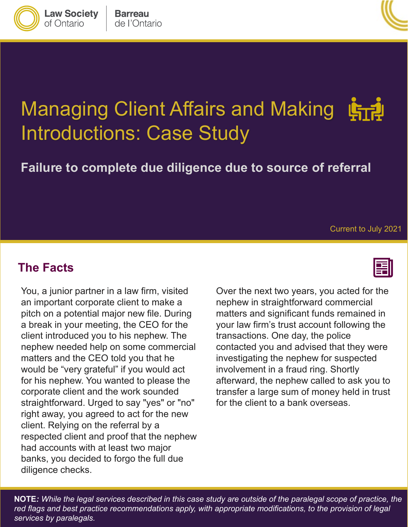

**Law Society** 

of Ontario



# Managing Client Affairs and Making Introductions: Case Study

**Failure to complete due diligence due to source of referral**

Current to July 2021

#### **The Facts**

 You, a junior partner in a law firm, visited pitch on a potential major new file. During a break in your meeting, the CEO for the client introduced you to his nephew. The would be "very grateful" if you would act straightforward. Urged to say "yes" or "no" right away, you agreed to act for the new respected client and proof that the nephew had accounts with at least two major an important corporate client to make a nephew needed help on some commercial matters and the CEO told you that he for his nephew. You wanted to please the corporate client and the work sounded client. Relying on the referral by a banks, you decided to forgo the full due diligence checks.

 Over the next two years, you acted for the transfer a large sum of money held in trust nephew in straightforward commercial matters and significant funds remained in your law firm's trust account following the transactions. One day, the police contacted you and advised that they were investigating the nephew for suspected involvement in a fraud ring. Shortly afterward, the nephew called to ask you to for the client to a bank overseas.

 **NOTE***: While the legal services described in this case study are outside of the paralegal scope of practice, the red flags and best practice recommendations apply, with appropriate modifications, to the provision of legal services by paralegals.*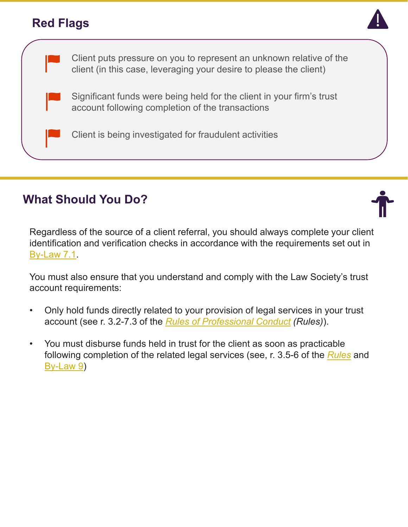### **Red Flags**





# **What Should You Do?**



You must also ensure that you understand and comply with the Law Society's trust account requirements:

- Only hold funds directly related to your provision of legal services in your trust • account (see r. 3.2-7.3 of the *[Rules of Professional Conduct](https://lso.ca/about-lso/legislation-rules/rules-of-professional-conduct) (Rules)*).
- • You must disburse funds held in trust for the client as soon as practicable following completion of the related legal services (see, r. 3.5-6 of the *[Rules](https://lso.ca/about-lso/legislation-rules/rules-of-professional-conduct)* and [By-Law 9](https://www.lso.ca/about-lso/legislation-rules/by-laws/by-law-9))